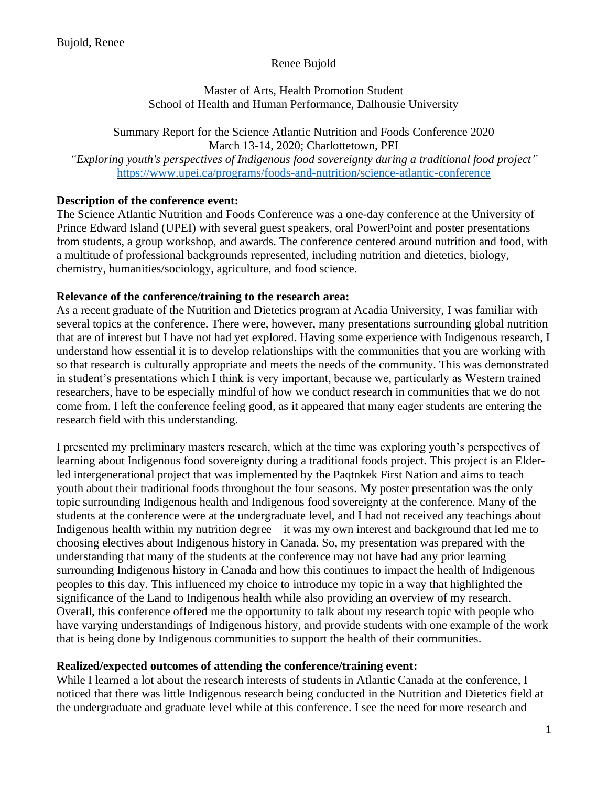# Renee Bujold

### Master of Arts, Health Promotion Student School of Health and Human Performance, Dalhousie University

Summary Report for the Science Atlantic Nutrition and Foods Conference 2020 March 13-14, 2020; Charlottetown, PEI *"Exploring youth's perspectives of Indigenous food sovereignty during a traditional food project"* <https://www.upei.ca/programs/foods-and-nutrition/science-atlantic-conference>

# **Description of the conference event:**

The Science Atlantic Nutrition and Foods Conference was a one-day conference at the University of Prince Edward Island (UPEI) with several guest speakers, oral PowerPoint and poster presentations from students, a group workshop, and awards. The conference centered around nutrition and food, with a multitude of professional backgrounds represented, including nutrition and dietetics, biology, chemistry, humanities/sociology, agriculture, and food science.

### **Relevance of the conference/training to the research area:**

As a recent graduate of the Nutrition and Dietetics program at Acadia University, I was familiar with several topics at the conference. There were, however, many presentations surrounding global nutrition that are of interest but I have not had yet explored. Having some experience with Indigenous research, I understand how essential it is to develop relationships with the communities that you are working with so that research is culturally appropriate and meets the needs of the community. This was demonstrated in student's presentations which I think is very important, because we, particularly as Western trained researchers, have to be especially mindful of how we conduct research in communities that we do not come from. I left the conference feeling good, as it appeared that many eager students are entering the research field with this understanding.

I presented my preliminary masters research, which at the time was exploring youth's perspectives of learning about Indigenous food sovereignty during a traditional foods project. This project is an Elderled intergenerational project that was implemented by the Paqtnkek First Nation and aims to teach youth about their traditional foods throughout the four seasons. My poster presentation was the only topic surrounding Indigenous health and Indigenous food sovereignty at the conference. Many of the students at the conference were at the undergraduate level, and I had not received any teachings about Indigenous health within my nutrition degree – it was my own interest and background that led me to choosing electives about Indigenous history in Canada. So, my presentation was prepared with the understanding that many of the students at the conference may not have had any prior learning surrounding Indigenous history in Canada and how this continues to impact the health of Indigenous peoples to this day. This influenced my choice to introduce my topic in a way that highlighted the significance of the Land to Indigenous health while also providing an overview of my research. Overall, this conference offered me the opportunity to talk about my research topic with people who have varying understandings of Indigenous history, and provide students with one example of the work that is being done by Indigenous communities to support the health of their communities.

# **Realized/expected outcomes of attending the conference/training event:**

While I learned a lot about the research interests of students in Atlantic Canada at the conference, I noticed that there was little Indigenous research being conducted in the Nutrition and Dietetics field at the undergraduate and graduate level while at this conference. I see the need for more research and